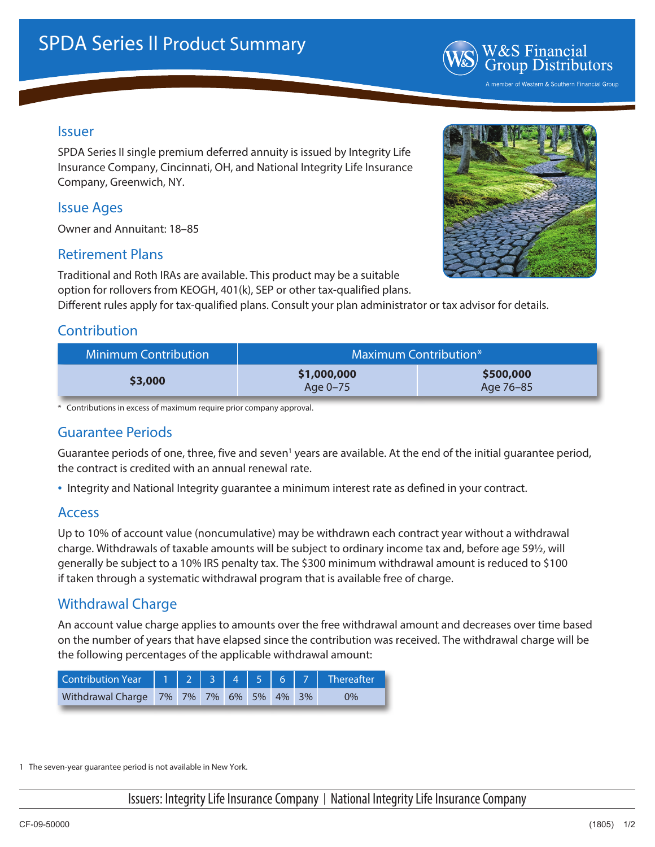

#### Issuer

SPDA Series II single premium deferred annuity is issued by Integrity Life Insurance Company, Cincinnati, OH, and National Integrity Life Insurance Company, Greenwich, NY.

#### Issue Ages

Owner and Annuitant: 18–85

#### Retirement Plans

Traditional and Roth IRAs are available. This product may be a suitable option for rollovers from KEOGH, 401(k), SEP or other tax-qualified plans.

Different rules apply for tax-qualified plans. Consult your plan administrator or tax advisor for details.

## **Contribution**

| <b>Minimum Contribution</b> | Maximum Contribution*   |                        |  |  |  |
|-----------------------------|-------------------------|------------------------|--|--|--|
| \$3,000                     | \$1,000,000<br>Age 0-75 | \$500,000<br>Age 76–85 |  |  |  |

\* Contributions in excess of maximum require prior company approval.

### Guarantee Periods

Guarantee periods of one, three, five and seven<sup>1</sup> years are available. At the end of the initial guarantee period, the contract is credited with an annual renewal rate.

• Integrity and National Integrity guarantee a minimum interest rate as defined in your contract.

#### Access

Up to 10% of account value (noncumulative) may be withdrawn each contract year without a withdrawal charge. Withdrawals of taxable amounts will be subject to ordinary income tax and, before age 59½, will generally be subject to a 10% IRS penalty tax. The \$300 minimum withdrawal amount is reduced to \$100 if taken through a systematic withdrawal program that is available free of charge.

### Withdrawal Charge

An account value charge applies to amounts over the free withdrawal amount and decreases over time based on the number of years that have elapsed since the contribution was received. The withdrawal charge will be the following percentages of the applicable withdrawal amount:

| Contribution Year $\begin{vmatrix} 1 & 2 & 3 & 4 & 5 & 6 & 7 \end{vmatrix}$ Thereafter |  |  |  |       |
|----------------------------------------------------------------------------------------|--|--|--|-------|
| Withdrawal Charge 7% 7% 7% 6% 5% 4% 3%                                                 |  |  |  | $9\%$ |

1 The seven-year guarantee period is not available in New York.